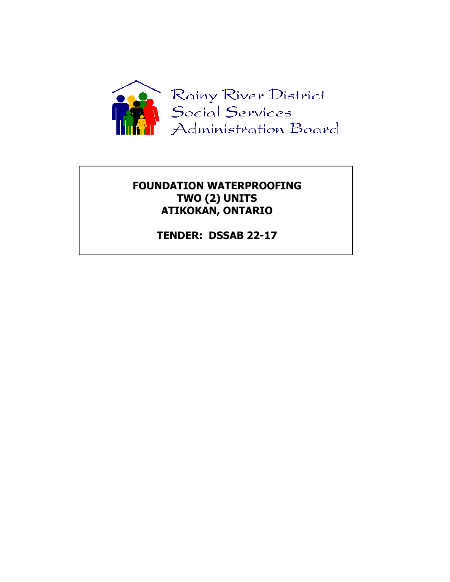

# **FOUNDATION WATERPROOFING TWO (2) UNITS ATIKOKAN, ONTARIO**

**TENDER: DSSAB 22-17**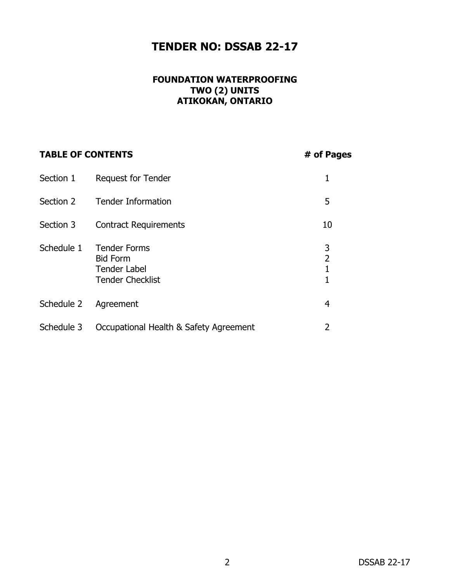# **TENDER NO: DSSAB 22-17**

# **FOUNDATION WATERPROOFING TWO (2) UNITS ATIKOKAN, ONTARIO**

# **TABLE OF CONTENTS # of Pages**

| Section 1  | <b>Request for Tender</b>                                                                |                          |
|------------|------------------------------------------------------------------------------------------|--------------------------|
| Section 2  | <b>Tender Information</b>                                                                | 5                        |
| Section 3  | <b>Contract Requirements</b>                                                             | 10                       |
| Schedule 1 | <b>Tender Forms</b><br><b>Bid Form</b><br><b>Tender Label</b><br><b>Tender Checklist</b> | 3<br>$\overline{2}$<br>1 |
| Schedule 2 | Agreement                                                                                | 4                        |
| Schedule 3 | Occupational Health & Safety Agreement                                                   | 2                        |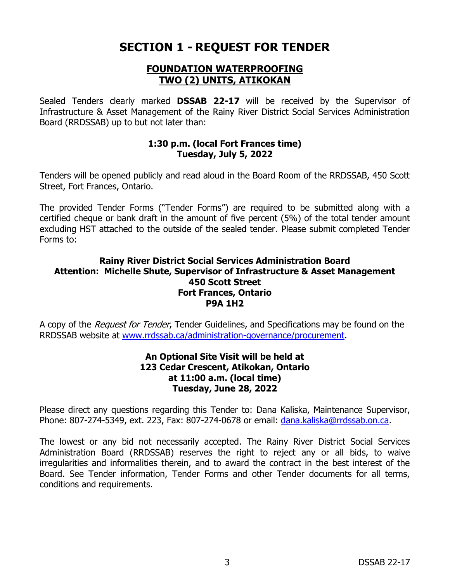# **SECTION 1 - REQUEST FOR TENDER**

# **FOUNDATION WATERPROOFING TWO (2) UNITS, ATIKOKAN**

Sealed Tenders clearly marked **DSSAB 22-17** will be received by the Supervisor of Infrastructure & Asset Management of the Rainy River District Social Services Administration Board (RRDSSAB) up to but not later than:

### **1:30 p.m. (local Fort Frances time) Tuesday, July 5, 2022**

Tenders will be opened publicly and read aloud in the Board Room of the RRDSSAB, 450 Scott Street, Fort Frances, Ontario.

The provided Tender Forms ("Tender Forms") are required to be submitted along with a certified cheque or bank draft in the amount of five percent (5%) of the total tender amount excluding HST attached to the outside of the sealed tender. Please submit completed Tender Forms to:

# **Rainy River District Social Services Administration Board Attention: Michelle Shute, Supervisor of Infrastructure & Asset Management 450 Scott Street Fort Frances, Ontario P9A 1H2**

A copy of the *Request for Tender*, Tender Guidelines, and Specifications may be found on the RRDSSAB website at [www.rrdssab.ca/](http://www.rrdssab.ca/)administration-governance/procurement.

### **An Optional Site Visit will be held at 123 Cedar Crescent, Atikokan, Ontario at 11:00 a.m. (local time) Tuesday, June 28, 2022**

Please direct any questions regarding this Tender to: Dana Kaliska, Maintenance Supervisor, Phone: 807-274-5349, ext. 223, Fax: 807-274-0678 or email: [dana.kaliska@rrdssab.on.ca.](mailto:dana.kaliska@rrdssab.on.ca)

The lowest or any bid not necessarily accepted. The Rainy River District Social Services Administration Board (RRDSSAB) reserves the right to reject any or all bids, to waive irregularities and informalities therein, and to award the contract in the best interest of the Board. See Tender information, Tender Forms and other Tender documents for all terms, conditions and requirements.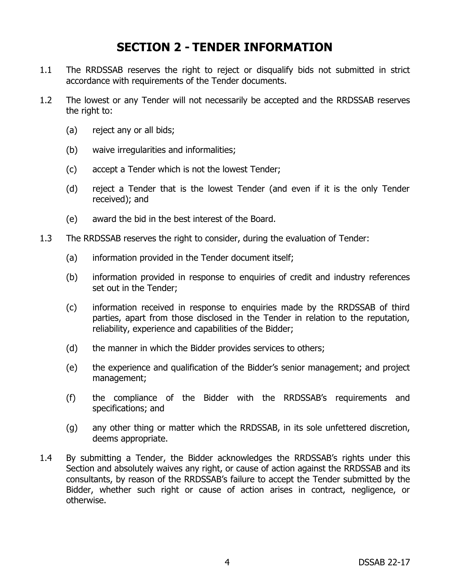# **SECTION 2 - TENDER INFORMATION**

- 1.1 The RRDSSAB reserves the right to reject or disqualify bids not submitted in strict accordance with requirements of the Tender documents.
- 1.2 The lowest or any Tender will not necessarily be accepted and the RRDSSAB reserves the right to:
	- (a) reject any or all bids;
	- (b) waive irregularities and informalities;
	- (c) accept a Tender which is not the lowest Tender;
	- (d) reject a Tender that is the lowest Tender (and even if it is the only Tender received); and
	- (e) award the bid in the best interest of the Board.
- 1.3 The RRDSSAB reserves the right to consider, during the evaluation of Tender:
	- (a) information provided in the Tender document itself;
	- (b) information provided in response to enquiries of credit and industry references set out in the Tender;
	- (c) information received in response to enquiries made by the RRDSSAB of third parties, apart from those disclosed in the Tender in relation to the reputation, reliability, experience and capabilities of the Bidder;
	- (d) the manner in which the Bidder provides services to others;
	- (e) the experience and qualification of the Bidder's senior management; and project management;
	- (f) the compliance of the Bidder with the RRDSSAB's requirements and specifications; and
	- (g) any other thing or matter which the RRDSSAB, in its sole unfettered discretion, deems appropriate.
- 1.4 By submitting a Tender, the Bidder acknowledges the RRDSSAB's rights under this Section and absolutely waives any right, or cause of action against the RRDSSAB and its consultants, by reason of the RRDSSAB's failure to accept the Tender submitted by the Bidder, whether such right or cause of action arises in contract, negligence, or otherwise.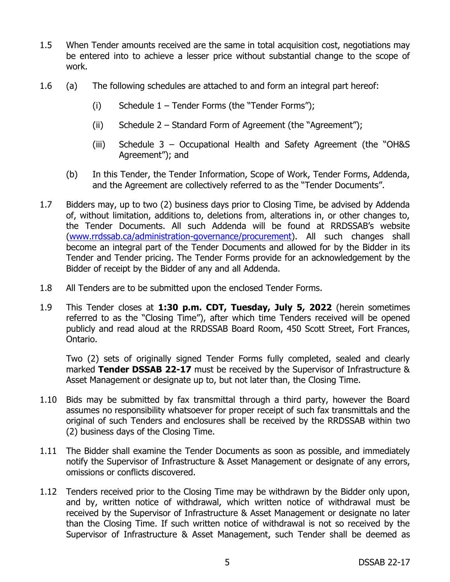- 1.5 When Tender amounts received are the same in total acquisition cost, negotiations may be entered into to achieve a lesser price without substantial change to the scope of work.
- 1.6 (a) The following schedules are attached to and form an integral part hereof:
	- (i) Schedule  $1 -$  Tender Forms (the "Tender Forms");
	- (ii) Schedule 2 Standard Form of Agreement (the "Agreement");
	- (iii) Schedule 3 Occupational Health and Safety Agreement (the "OH&S Agreement"); and
	- (b) In this Tender, the Tender Information, Scope of Work, Tender Forms, Addenda, and the Agreement are collectively referred to as the "Tender Documents".
- 1.7 Bidders may, up to two (2) business days prior to Closing Time, be advised by Addenda of, without limitation, additions to, deletions from, alterations in, or other changes to, the Tender Documents. All such Addenda will be found at RRDSSAB's website [\(www.rrdssab.ca/administration-governance/procurement\)](http://www.rrdssab.ca/administration-governance/procurement). All such changes shall become an integral part of the Tender Documents and allowed for by the Bidder in its Tender and Tender pricing. The Tender Forms provide for an acknowledgement by the Bidder of receipt by the Bidder of any and all Addenda.
- 1.8 All Tenders are to be submitted upon the enclosed Tender Forms.
- 1.9 This Tender closes at **1:30 p.m. CDT, Tuesday, July 5, 2022** (herein sometimes referred to as the "Closing Time"), after which time Tenders received will be opened publicly and read aloud at the RRDSSAB Board Room, 450 Scott Street, Fort Frances, Ontario.

Two (2) sets of originally signed Tender Forms fully completed, sealed and clearly marked **Tender DSSAB 22-17** must be received by the Supervisor of Infrastructure & Asset Management or designate up to, but not later than, the Closing Time.

- 1.10 Bids may be submitted by fax transmittal through a third party, however the Board assumes no responsibility whatsoever for proper receipt of such fax transmittals and the original of such Tenders and enclosures shall be received by the RRDSSAB within two (2) business days of the Closing Time.
- 1.11 The Bidder shall examine the Tender Documents as soon as possible, and immediately notify the Supervisor of Infrastructure & Asset Management or designate of any errors, omissions or conflicts discovered.
- 1.12 Tenders received prior to the Closing Time may be withdrawn by the Bidder only upon, and by, written notice of withdrawal, which written notice of withdrawal must be received by the Supervisor of Infrastructure & Asset Management or designate no later than the Closing Time. If such written notice of withdrawal is not so received by the Supervisor of Infrastructure & Asset Management, such Tender shall be deemed as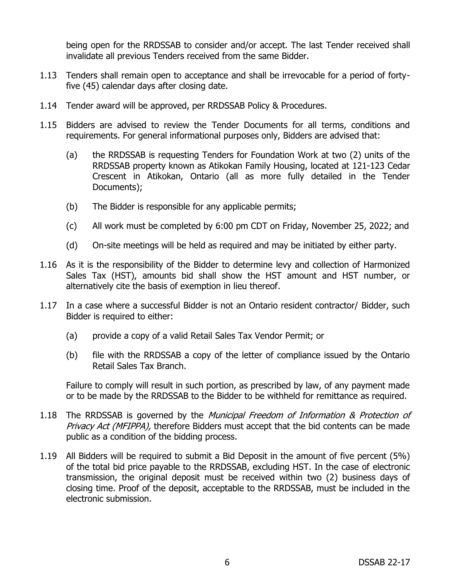being open for the RRDSSAB to consider and/or accept. The last Tender received shall invalidate all previous Tenders received from the same Bidder.

- 1.13 Tenders shall remain open to acceptance and shall be irrevocable for a period of fortyfive (45) calendar days after closing date.
- 1.14 Tender award will be approved, per RRDSSAB Policy & Procedures.
- 1.15 Bidders are advised to review the Tender Documents for all terms, conditions and requirements. For general informational purposes only, Bidders are advised that:
	- (a) the RRDSSAB is requesting Tenders for Foundation Work at two (2) units of the RRDSSAB property known as Atikokan Family Housing, located at 121-123 Cedar Crescent in Atikokan, Ontario (all as more fully detailed in the Tender Documents);
	- (b) The Bidder is responsible for any applicable permits;
	- (c) All work must be completed by 6:00 pm CDT on Friday, November 25, 2022; and
	- (d) On-site meetings will be held as required and may be initiated by either party.
- 1.16 As it is the responsibility of the Bidder to determine levy and collection of Harmonized Sales Tax (HST), amounts bid shall show the HST amount and HST number, or alternatively cite the basis of exemption in lieu thereof.
- 1.17 In a case where a successful Bidder is not an Ontario resident contractor/ Bidder, such Bidder is required to either:
	- (a) provide a copy of a valid Retail Sales Tax Vendor Permit; or
	- (b) file with the RRDSSAB a copy of the letter of compliance issued by the Ontario Retail Sales Tax Branch.

Failure to comply will result in such portion, as prescribed by law, of any payment made or to be made by the RRDSSAB to the Bidder to be withheld for remittance as required.

- 1.18 The RRDSSAB is governed by the *Municipal Freedom of Information & Protection of* Privacy Act (MFIPPA), therefore Bidders must accept that the bid contents can be made public as a condition of the bidding process.
- 1.19 All Bidders will be required to submit a Bid Deposit in the amount of five percent (5%) of the total bid price payable to the RRDSSAB, excluding HST. In the case of electronic transmission, the original deposit must be received within two (2) business days of closing time. Proof of the deposit, acceptable to the RRDSSAB, must be included in the electronic submission.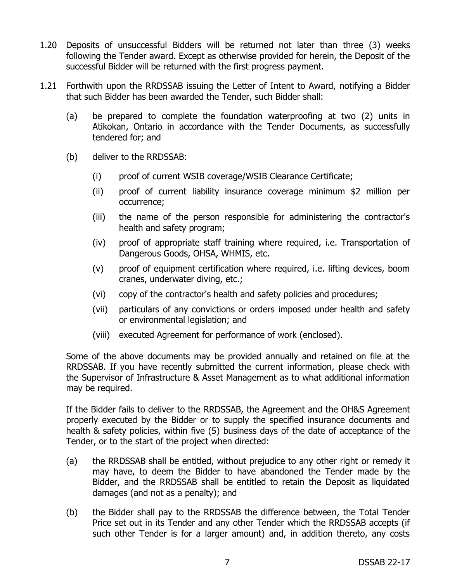- 1.20 Deposits of unsuccessful Bidders will be returned not later than three (3) weeks following the Tender award. Except as otherwise provided for herein, the Deposit of the successful Bidder will be returned with the first progress payment.
- 1.21 Forthwith upon the RRDSSAB issuing the Letter of Intent to Award, notifying a Bidder that such Bidder has been awarded the Tender, such Bidder shall:
	- (a) be prepared to complete the foundation waterproofing at two (2) units in Atikokan, Ontario in accordance with the Tender Documents, as successfully tendered for; and
	- (b) deliver to the RRDSSAB:
		- (i) proof of current WSIB coverage/WSIB Clearance Certificate;
		- (ii) proof of current liability insurance coverage minimum \$2 million per occurrence;
		- (iii) the name of the person responsible for administering the contractor's health and safety program;
		- (iv) proof of appropriate staff training where required, i.e. Transportation of Dangerous Goods, OHSA, WHMIS, etc.
		- (v) proof of equipment certification where required, i.e. lifting devices, boom cranes, underwater diving, etc.;
		- (vi) copy of the contractor's health and safety policies and procedures;
		- (vii) particulars of any convictions or orders imposed under health and safety or environmental legislation; and
		- (viii) executed Agreement for performance of work (enclosed).

Some of the above documents may be provided annually and retained on file at the RRDSSAB. If you have recently submitted the current information, please check with the Supervisor of Infrastructure & Asset Management as to what additional information may be required.

If the Bidder fails to deliver to the RRDSSAB, the Agreement and the OH&S Agreement properly executed by the Bidder or to supply the specified insurance documents and health & safety policies, within five (5) business days of the date of acceptance of the Tender, or to the start of the project when directed:

- (a) the RRDSSAB shall be entitled, without prejudice to any other right or remedy it may have, to deem the Bidder to have abandoned the Tender made by the Bidder, and the RRDSSAB shall be entitled to retain the Deposit as liquidated damages (and not as a penalty); and
- (b) the Bidder shall pay to the RRDSSAB the difference between, the Total Tender Price set out in its Tender and any other Tender which the RRDSSAB accepts (if such other Tender is for a larger amount) and, in addition thereto, any costs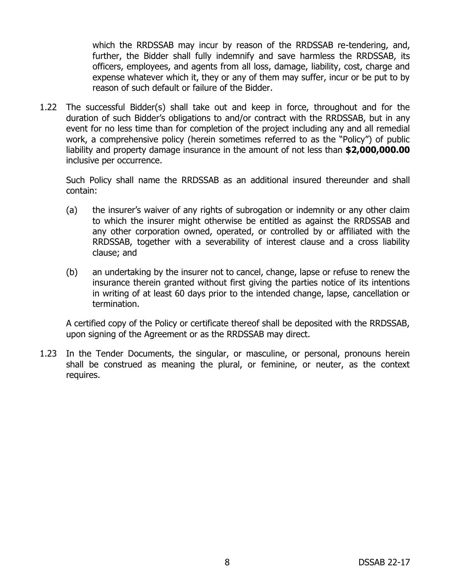which the RRDSSAB may incur by reason of the RRDSSAB re-tendering, and, further, the Bidder shall fully indemnify and save harmless the RRDSSAB, its officers, employees, and agents from all loss, damage, liability, cost, charge and expense whatever which it, they or any of them may suffer, incur or be put to by reason of such default or failure of the Bidder.

1.22 The successful Bidder(s) shall take out and keep in force, throughout and for the duration of such Bidder's obligations to and/or contract with the RRDSSAB, but in any event for no less time than for completion of the project including any and all remedial work, a comprehensive policy (herein sometimes referred to as the "Policy") of public liability and property damage insurance in the amount of not less than **\$2,000,000.00** inclusive per occurrence.

Such Policy shall name the RRDSSAB as an additional insured thereunder and shall contain:

- (a) the insurer's waiver of any rights of subrogation or indemnity or any other claim to which the insurer might otherwise be entitled as against the RRDSSAB and any other corporation owned, operated, or controlled by or affiliated with the RRDSSAB, together with a severability of interest clause and a cross liability clause; and
- (b) an undertaking by the insurer not to cancel, change, lapse or refuse to renew the insurance therein granted without first giving the parties notice of its intentions in writing of at least 60 days prior to the intended change, lapse, cancellation or termination.

A certified copy of the Policy or certificate thereof shall be deposited with the RRDSSAB, upon signing of the Agreement or as the RRDSSAB may direct.

1.23 In the Tender Documents, the singular, or masculine, or personal, pronouns herein shall be construed as meaning the plural, or feminine, or neuter, as the context requires.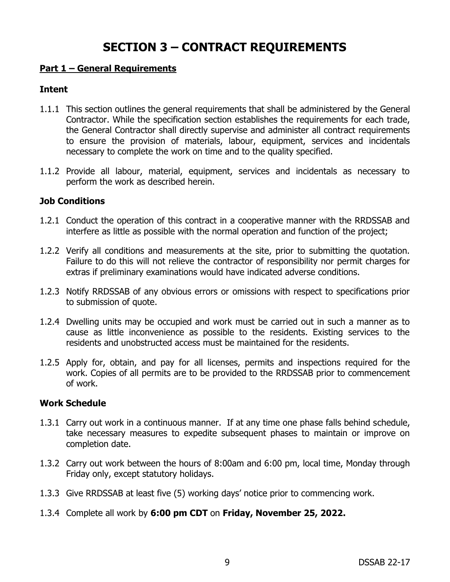# **SECTION 3 – CONTRACT REQUIREMENTS**

#### **Part 1 – General Requirements**

#### **Intent**

- 1.1.1 This section outlines the general requirements that shall be administered by the General Contractor. While the specification section establishes the requirements for each trade, the General Contractor shall directly supervise and administer all contract requirements to ensure the provision of materials, labour, equipment, services and incidentals necessary to complete the work on time and to the quality specified.
- 1.1.2 Provide all labour, material, equipment, services and incidentals as necessary to perform the work as described herein.

#### **Job Conditions**

- 1.2.1 Conduct the operation of this contract in a cooperative manner with the RRDSSAB and interfere as little as possible with the normal operation and function of the project;
- 1.2.2 Verify all conditions and measurements at the site, prior to submitting the quotation. Failure to do this will not relieve the contractor of responsibility nor permit charges for extras if preliminary examinations would have indicated adverse conditions.
- 1.2.3 Notify RRDSSAB of any obvious errors or omissions with respect to specifications prior to submission of quote.
- 1.2.4 Dwelling units may be occupied and work must be carried out in such a manner as to cause as little inconvenience as possible to the residents. Existing services to the residents and unobstructed access must be maintained for the residents.
- 1.2.5 Apply for, obtain, and pay for all licenses, permits and inspections required for the work. Copies of all permits are to be provided to the RRDSSAB prior to commencement of work.

#### **Work Schedule**

- 1.3.1 Carry out work in a continuous manner. If at any time one phase falls behind schedule, take necessary measures to expedite subsequent phases to maintain or improve on completion date.
- 1.3.2 Carry out work between the hours of 8:00am and 6:00 pm, local time, Monday through Friday only, except statutory holidays.
- 1.3.3 Give RRDSSAB at least five (5) working days' notice prior to commencing work.
- 1.3.4 Complete all work by **6:00 pm CDT** on **Friday, November 25, 2022.**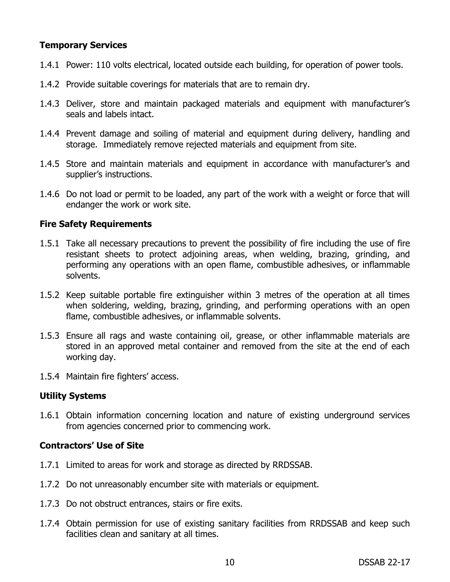# **Temporary Services**

- 1.4.1 Power: 110 volts electrical, located outside each building, for operation of power tools.
- 1.4.2 Provide suitable coverings for materials that are to remain dry.
- 1.4.3 Deliver, store and maintain packaged materials and equipment with manufacturer's seals and labels intact.
- 1.4.4 Prevent damage and soiling of material and equipment during delivery, handling and storage. Immediately remove rejected materials and equipment from site.
- 1.4.5 Store and maintain materials and equipment in accordance with manufacturer's and supplier's instructions.
- 1.4.6 Do not load or permit to be loaded, any part of the work with a weight or force that will endanger the work or work site.

# **Fire Safety Requirements**

- 1.5.1 Take all necessary precautions to prevent the possibility of fire including the use of fire resistant sheets to protect adjoining areas, when welding, brazing, grinding, and performing any operations with an open flame, combustible adhesives, or inflammable solvents.
- 1.5.2 Keep suitable portable fire extinguisher within 3 metres of the operation at all times when soldering, welding, brazing, grinding, and performing operations with an open flame, combustible adhesives, or inflammable solvents.
- 1.5.3 Ensure all rags and waste containing oil, grease, or other inflammable materials are stored in an approved metal container and removed from the site at the end of each working day.
- 1.5.4 Maintain fire fighters' access.

# **Utility Systems**

1.6.1 Obtain information concerning location and nature of existing underground services from agencies concerned prior to commencing work.

# **Contractors' Use of Site**

- 1.7.1 Limited to areas for work and storage as directed by RRDSSAB.
- 1.7.2 Do not unreasonably encumber site with materials or equipment.
- 1.7.3 Do not obstruct entrances, stairs or fire exits.
- 1.7.4 Obtain permission for use of existing sanitary facilities from RRDSSAB and keep such facilities clean and sanitary at all times.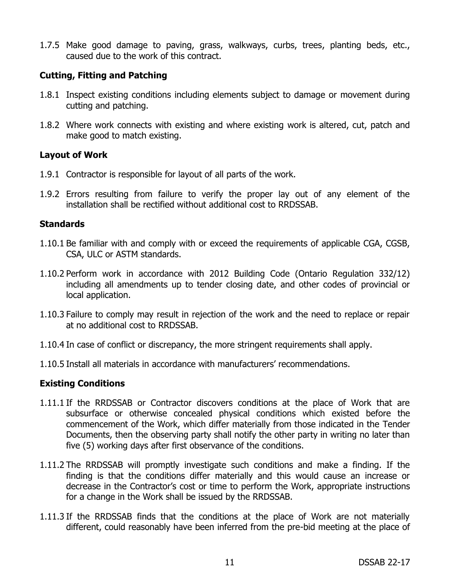1.7.5 Make good damage to paving, grass, walkways, curbs, trees, planting beds, etc., caused due to the work of this contract.

#### **Cutting, Fitting and Patching**

- 1.8.1 Inspect existing conditions including elements subject to damage or movement during cutting and patching.
- 1.8.2 Where work connects with existing and where existing work is altered, cut, patch and make good to match existing.

### **Layout of Work**

- 1.9.1 Contractor is responsible for layout of all parts of the work.
- 1.9.2 Errors resulting from failure to verify the proper lay out of any element of the installation shall be rectified without additional cost to RRDSSAB.

#### **Standards**

- 1.10.1 Be familiar with and comply with or exceed the requirements of applicable CGA, CGSB, CSA, ULC or ASTM standards.
- 1.10.2 Perform work in accordance with 2012 Building Code (Ontario Regulation 332/12) including all amendments up to tender closing date, and other codes of provincial or local application.
- 1.10.3 Failure to comply may result in rejection of the work and the need to replace or repair at no additional cost to RRDSSAB.
- 1.10.4 In case of conflict or discrepancy, the more stringent requirements shall apply.
- 1.10.5 Install all materials in accordance with manufacturers' recommendations.

#### **Existing Conditions**

- 1.11.1 If the RRDSSAB or Contractor discovers conditions at the place of Work that are subsurface or otherwise concealed physical conditions which existed before the commencement of the Work, which differ materially from those indicated in the Tender Documents, then the observing party shall notify the other party in writing no later than five (5) working days after first observance of the conditions.
- 1.11.2 The RRDSSAB will promptly investigate such conditions and make a finding. If the finding is that the conditions differ materially and this would cause an increase or decrease in the Contractor's cost or time to perform the Work, appropriate instructions for a change in the Work shall be issued by the RRDSSAB.
- 1.11.3 If the RRDSSAB finds that the conditions at the place of Work are not materially different, could reasonably have been inferred from the pre-bid meeting at the place of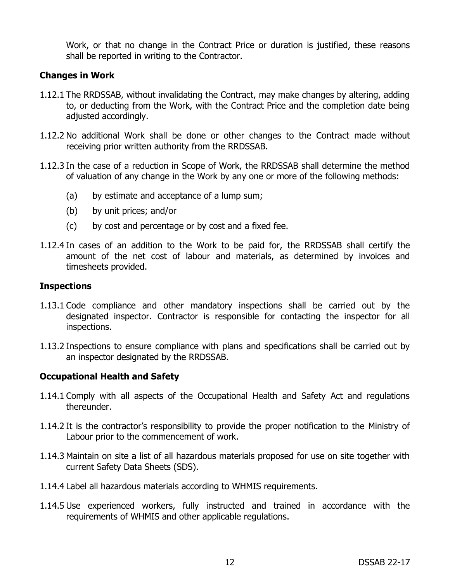Work, or that no change in the Contract Price or duration is justified, these reasons shall be reported in writing to the Contractor.

### **Changes in Work**

- 1.12.1 The RRDSSAB, without invalidating the Contract, may make changes by altering, adding to, or deducting from the Work, with the Contract Price and the completion date being adjusted accordingly.
- 1.12.2 No additional Work shall be done or other changes to the Contract made without receiving prior written authority from the RRDSSAB.
- 1.12.3 In the case of a reduction in Scope of Work, the RRDSSAB shall determine the method of valuation of any change in the Work by any one or more of the following methods:
	- (a) by estimate and acceptance of a lump sum;
	- (b) by unit prices; and/or
	- (c) by cost and percentage or by cost and a fixed fee.
- 1.12.4 In cases of an addition to the Work to be paid for, the RRDSSAB shall certify the amount of the net cost of labour and materials, as determined by invoices and timesheets provided.

#### **Inspections**

- 1.13.1 Code compliance and other mandatory inspections shall be carried out by the designated inspector. Contractor is responsible for contacting the inspector for all inspections.
- 1.13.2 Inspections to ensure compliance with plans and specifications shall be carried out by an inspector designated by the RRDSSAB.

# **Occupational Health and Safety**

- 1.14.1 Comply with all aspects of the Occupational Health and Safety Act and regulations thereunder.
- 1.14.2 It is the contractor's responsibility to provide the proper notification to the Ministry of Labour prior to the commencement of work.
- 1.14.3 Maintain on site a list of all hazardous materials proposed for use on site together with current Safety Data Sheets (SDS).
- 1.14.4 Label all hazardous materials according to WHMIS requirements.
- 1.14.5 Use experienced workers, fully instructed and trained in accordance with the requirements of WHMIS and other applicable regulations.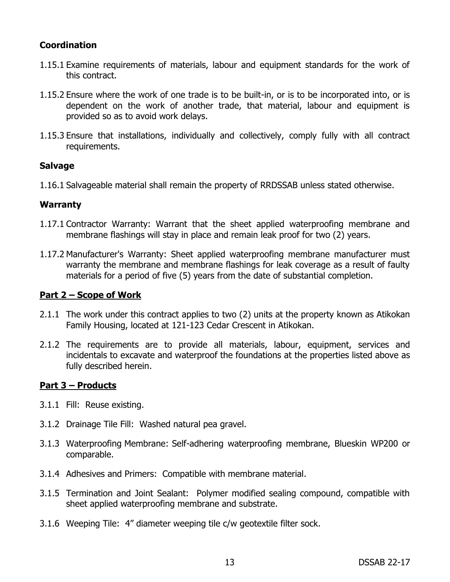# **Coordination**

- 1.15.1 Examine requirements of materials, labour and equipment standards for the work of this contract.
- 1.15.2 Ensure where the work of one trade is to be built-in, or is to be incorporated into, or is dependent on the work of another trade, that material, labour and equipment is provided so as to avoid work delays.
- 1.15.3 Ensure that installations, individually and collectively, comply fully with all contract requirements.

# **Salvage**

1.16.1 Salvageable material shall remain the property of RRDSSAB unless stated otherwise.

### **Warranty**

- 1.17.1 Contractor Warranty: Warrant that the sheet applied waterproofing membrane and membrane flashings will stay in place and remain leak proof for two (2) years.
- 1.17.2 Manufacturer's Warranty: Sheet applied waterproofing membrane manufacturer must warranty the membrane and membrane flashings for leak coverage as a result of faulty materials for a period of five (5) years from the date of substantial completion.

#### **Part 2 – Scope of Work**

- 2.1.1 The work under this contract applies to two (2) units at the property known as Atikokan Family Housing, located at 121-123 Cedar Crescent in Atikokan.
- 2.1.2 The requirements are to provide all materials, labour, equipment, services and incidentals to excavate and waterproof the foundations at the properties listed above as fully described herein.

# **Part 3 – Products**

- 3.1.1 Fill: Reuse existing.
- 3.1.2 Drainage Tile Fill: Washed natural pea gravel.
- 3.1.3 Waterproofing Membrane: Self-adhering waterproofing membrane, Blueskin WP200 or comparable.
- 3.1.4 Adhesives and Primers: Compatible with membrane material.
- 3.1.5 Termination and Joint Sealant: Polymer modified sealing compound, compatible with sheet applied waterproofing membrane and substrate.
- 3.1.6 Weeping Tile: 4" diameter weeping tile c/w geotextile filter sock.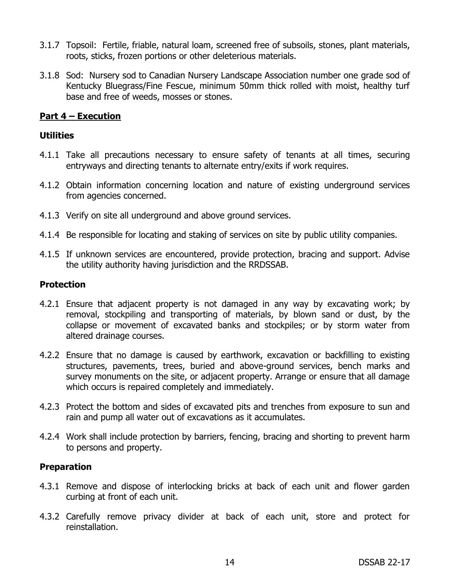- 3.1.7 Topsoil: Fertile, friable, natural loam, screened free of subsoils, stones, plant materials, roots, sticks, frozen portions or other deleterious materials.
- 3.1.8 Sod: Nursery sod to Canadian Nursery Landscape Association number one grade sod of Kentucky Bluegrass/Fine Fescue, minimum 50mm thick rolled with moist, healthy turf base and free of weeds, mosses or stones.

### **Part 4 – Execution**

#### **Utilities**

- 4.1.1 Take all precautions necessary to ensure safety of tenants at all times, securing entryways and directing tenants to alternate entry/exits if work requires.
- 4.1.2 Obtain information concerning location and nature of existing underground services from agencies concerned.
- 4.1.3 Verify on site all underground and above ground services.
- 4.1.4 Be responsible for locating and staking of services on site by public utility companies.
- 4.1.5 If unknown services are encountered, provide protection, bracing and support. Advise the utility authority having jurisdiction and the RRDSSAB.

#### **Protection**

- 4.2.1 Ensure that adjacent property is not damaged in any way by excavating work; by removal, stockpiling and transporting of materials, by blown sand or dust, by the collapse or movement of excavated banks and stockpiles; or by storm water from altered drainage courses.
- 4.2.2 Ensure that no damage is caused by earthwork, excavation or backfilling to existing structures, pavements, trees, buried and above-ground services, bench marks and survey monuments on the site, or adjacent property. Arrange or ensure that all damage which occurs is repaired completely and immediately.
- 4.2.3 Protect the bottom and sides of excavated pits and trenches from exposure to sun and rain and pump all water out of excavations as it accumulates.
- 4.2.4 Work shall include protection by barriers, fencing, bracing and shorting to prevent harm to persons and property.

#### **Preparation**

- 4.3.1 Remove and dispose of interlocking bricks at back of each unit and flower garden curbing at front of each unit.
- 4.3.2 Carefully remove privacy divider at back of each unit, store and protect for reinstallation.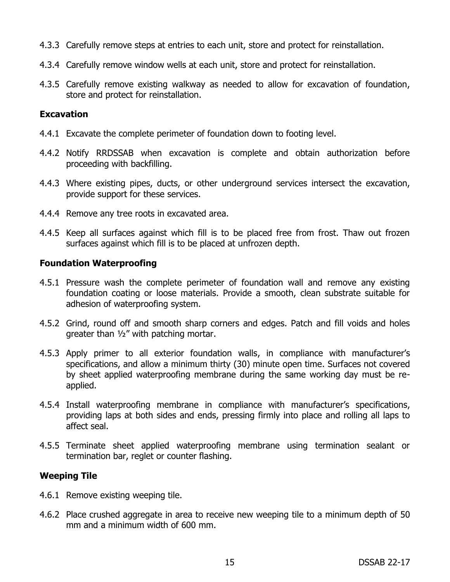- 4.3.3 Carefully remove steps at entries to each unit, store and protect for reinstallation.
- 4.3.4 Carefully remove window wells at each unit, store and protect for reinstallation.
- 4.3.5 Carefully remove existing walkway as needed to allow for excavation of foundation, store and protect for reinstallation.

#### **Excavation**

- 4.4.1 Excavate the complete perimeter of foundation down to footing level.
- 4.4.2 Notify RRDSSAB when excavation is complete and obtain authorization before proceeding with backfilling.
- 4.4.3 Where existing pipes, ducts, or other underground services intersect the excavation, provide support for these services.
- 4.4.4 Remove any tree roots in excavated area.
- 4.4.5 Keep all surfaces against which fill is to be placed free from frost. Thaw out frozen surfaces against which fill is to be placed at unfrozen depth.

#### **Foundation Waterproofing**

- 4.5.1 Pressure wash the complete perimeter of foundation wall and remove any existing foundation coating or loose materials. Provide a smooth, clean substrate suitable for adhesion of waterproofing system.
- 4.5.2 Grind, round off and smooth sharp corners and edges. Patch and fill voids and holes greater than ½" with patching mortar.
- 4.5.3 Apply primer to all exterior foundation walls, in compliance with manufacturer's specifications, and allow a minimum thirty (30) minute open time. Surfaces not covered by sheet applied waterproofing membrane during the same working day must be reapplied.
- 4.5.4 Install waterproofing membrane in compliance with manufacturer's specifications, providing laps at both sides and ends, pressing firmly into place and rolling all laps to affect seal.
- 4.5.5 Terminate sheet applied waterproofing membrane using termination sealant or termination bar, reglet or counter flashing.

# **Weeping Tile**

- 4.6.1 Remove existing weeping tile.
- 4.6.2 Place crushed aggregate in area to receive new weeping tile to a minimum depth of 50 mm and a minimum width of 600 mm.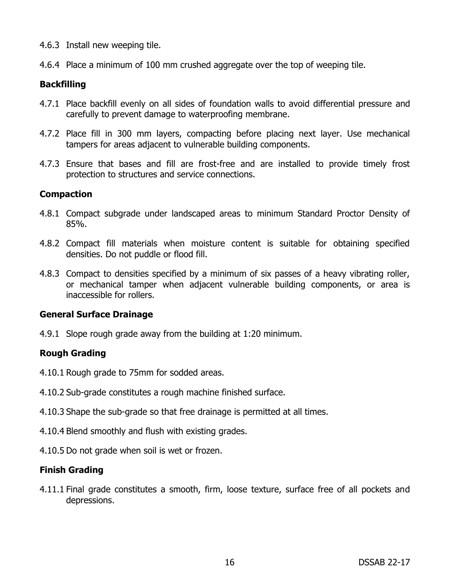- 4.6.3 Install new weeping tile.
- 4.6.4 Place a minimum of 100 mm crushed aggregate over the top of weeping tile.

# **Backfilling**

- 4.7.1 Place backfill evenly on all sides of foundation walls to avoid differential pressure and carefully to prevent damage to waterproofing membrane.
- 4.7.2 Place fill in 300 mm layers, compacting before placing next layer. Use mechanical tampers for areas adjacent to vulnerable building components.
- 4.7.3 Ensure that bases and fill are frost-free and are installed to provide timely frost protection to structures and service connections.

# **Compaction**

- 4.8.1 Compact subgrade under landscaped areas to minimum Standard Proctor Density of 85%.
- 4.8.2 Compact fill materials when moisture content is suitable for obtaining specified densities. Do not puddle or flood fill.
- 4.8.3 Compact to densities specified by a minimum of six passes of a heavy vibrating roller, or mechanical tamper when adjacent vulnerable building components, or area is inaccessible for rollers.

#### **General Surface Drainage**

4.9.1 Slope rough grade away from the building at 1:20 minimum.

# **Rough Grading**

- 4.10.1 Rough grade to 75mm for sodded areas.
- 4.10.2 Sub-grade constitutes a rough machine finished surface.
- 4.10.3 Shape the sub-grade so that free drainage is permitted at all times.
- 4.10.4 Blend smoothly and flush with existing grades.
- 4.10.5 Do not grade when soil is wet or frozen.

# **Finish Grading**

4.11.1 Final grade constitutes a smooth, firm, loose texture, surface free of all pockets and depressions.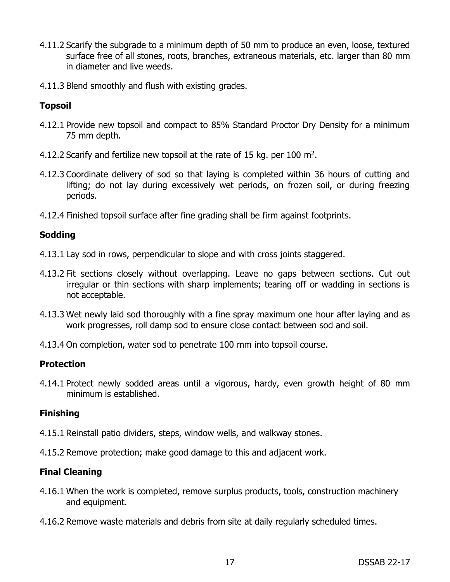- 4.11.2 Scarify the subgrade to a minimum depth of 50 mm to produce an even, loose, textured surface free of all stones, roots, branches, extraneous materials, etc. larger than 80 mm in diameter and live weeds.
- 4.11.3 Blend smoothly and flush with existing grades.

# **Topsoil**

- 4.12.1 Provide new topsoil and compact to 85% Standard Proctor Dry Density for a minimum 75 mm depth.
- 4.12.2 Scarify and fertilize new topsoil at the rate of 15 kg. per 100  $m^2$ .
- 4.12.3 Coordinate delivery of sod so that laying is completed within 36 hours of cutting and lifting; do not lay during excessively wet periods, on frozen soil, or during freezing periods.
- 4.12.4 Finished topsoil surface after fine grading shall be firm against footprints.

# **Sodding**

- 4.13.1 Lay sod in rows, perpendicular to slope and with cross joints staggered.
- 4.13.2 Fit sections closely without overlapping. Leave no gaps between sections. Cut out irregular or thin sections with sharp implements; tearing off or wadding in sections is not acceptable.
- 4.13.3 Wet newly laid sod thoroughly with a fine spray maximum one hour after laying and as work progresses, roll damp sod to ensure close contact between sod and soil.
- 4.13.4 On completion, water sod to penetrate 100 mm into topsoil course.

# **Protection**

4.14.1 Protect newly sodded areas until a vigorous, hardy, even growth height of 80 mm minimum is established.

# **Finishing**

- 4.15.1 Reinstall patio dividers, steps, window wells, and walkway stones.
- 4.15.2 Remove protection; make good damage to this and adjacent work.

# **Final Cleaning**

- 4.16.1 When the work is completed, remove surplus products, tools, construction machinery and equipment.
- 4.16.2 Remove waste materials and debris from site at daily regularly scheduled times.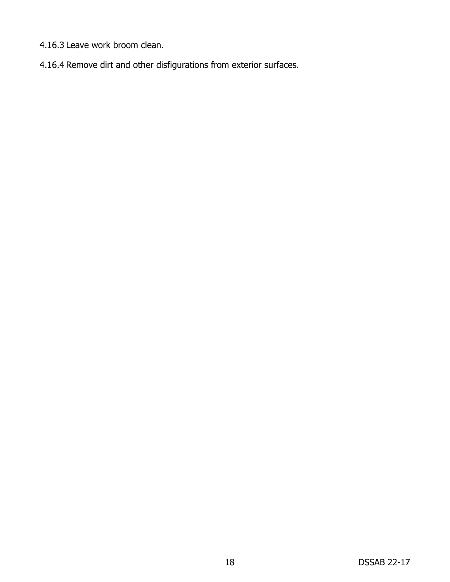- 4.16.3 Leave work broom clean.
- 4.16.4 Remove dirt and other disfigurations from exterior surfaces.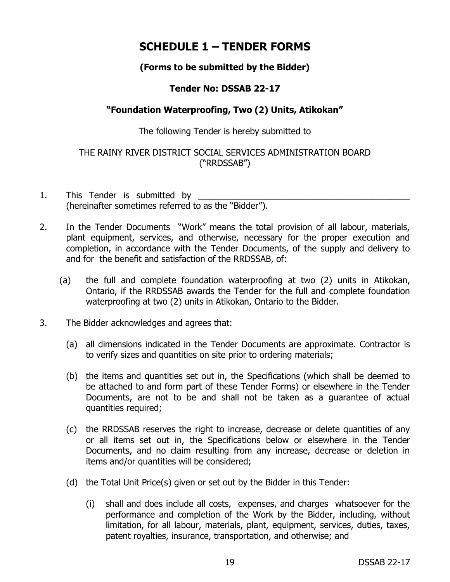# **SCHEDULE 1 – TENDER FORMS**

# **(Forms to be submitted by the Bidder)**

# **Tender No: DSSAB 22-17**

# **"Foundation Waterproofing, Two (2) Units, Atikokan"**

### The following Tender is hereby submitted to

# THE RAINY RIVER DISTRICT SOCIAL SERVICES ADMINISTRATION BOARD ("RRDSSAB")

- 1. This Tender is submitted by (hereinafter sometimes referred to as the "Bidder").
- 2. In the Tender Documents "Work" means the total provision of all labour, materials, plant equipment, services, and otherwise, necessary for the proper execution and completion, in accordance with the Tender Documents, of the supply and delivery to and for the benefit and satisfaction of the RRDSSAB, of:
	- (a) the full and complete foundation waterproofing at two (2) units in Atikokan, Ontario, if the RRDSSAB awards the Tender for the full and complete foundation waterproofing at two (2) units in Atikokan, Ontario to the Bidder.
- 3. The Bidder acknowledges and agrees that:
	- (a) all dimensions indicated in the Tender Documents are approximate. Contractor is to verify sizes and quantities on site prior to ordering materials;
	- (b) the items and quantities set out in, the Specifications (which shall be deemed to be attached to and form part of these Tender Forms) or elsewhere in the Tender Documents, are not to be and shall not be taken as a guarantee of actual quantities required;
	- (c) the RRDSSAB reserves the right to increase, decrease or delete quantities of any or all items set out in, the Specifications below or elsewhere in the Tender Documents, and no claim resulting from any increase, decrease or deletion in items and/or quantities will be considered;
	- (d) the Total Unit Price(s) given or set out by the Bidder in this Tender:
		- (i) shall and does include all costs, expenses, and charges whatsoever for the performance and completion of the Work by the Bidder, including, without limitation, for all labour, materials, plant, equipment, services, duties, taxes, patent royalties, insurance, transportation, and otherwise; and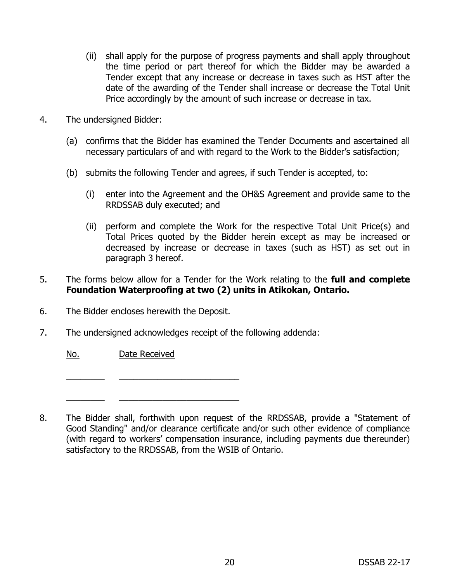- (ii) shall apply for the purpose of progress payments and shall apply throughout the time period or part thereof for which the Bidder may be awarded a Tender except that any increase or decrease in taxes such as HST after the date of the awarding of the Tender shall increase or decrease the Total Unit Price accordingly by the amount of such increase or decrease in tax.
- 4. The undersigned Bidder:
	- (a) confirms that the Bidder has examined the Tender Documents and ascertained all necessary particulars of and with regard to the Work to the Bidder's satisfaction;
	- (b) submits the following Tender and agrees, if such Tender is accepted, to:
		- (i) enter into the Agreement and the OH&S Agreement and provide same to the RRDSSAB duly executed; and
		- (ii) perform and complete the Work for the respective Total Unit Price(s) and Total Prices quoted by the Bidder herein except as may be increased or decreased by increase or decrease in taxes (such as HST) as set out in paragraph 3 hereof.
- 5. The forms below allow for a Tender for the Work relating to the **full and complete Foundation Waterproofing at two (2) units in Atikokan, Ontario.**
- 6. The Bidder encloses herewith the Deposit.

 $\frac{1}{2}$  ,  $\frac{1}{2}$  ,  $\frac{1}{2}$  ,  $\frac{1}{2}$  ,  $\frac{1}{2}$  ,  $\frac{1}{2}$  ,  $\frac{1}{2}$  ,  $\frac{1}{2}$  ,  $\frac{1}{2}$  ,  $\frac{1}{2}$  ,  $\frac{1}{2}$  ,  $\frac{1}{2}$  ,  $\frac{1}{2}$  ,  $\frac{1}{2}$  ,  $\frac{1}{2}$  ,  $\frac{1}{2}$  ,  $\frac{1}{2}$  ,  $\frac{1}{2}$  ,  $\frac{1$ 

 $\frac{1}{2}$  ,  $\frac{1}{2}$  ,  $\frac{1}{2}$  ,  $\frac{1}{2}$  ,  $\frac{1}{2}$  ,  $\frac{1}{2}$  ,  $\frac{1}{2}$  ,  $\frac{1}{2}$  ,  $\frac{1}{2}$  ,  $\frac{1}{2}$  ,  $\frac{1}{2}$  ,  $\frac{1}{2}$  ,  $\frac{1}{2}$  ,  $\frac{1}{2}$  ,  $\frac{1}{2}$  ,  $\frac{1}{2}$  ,  $\frac{1}{2}$  ,  $\frac{1}{2}$  ,  $\frac{1$ 

7. The undersigned acknowledges receipt of the following addenda:

No. Date Received

8. The Bidder shall, forthwith upon request of the RRDSSAB, provide a "Statement of Good Standing" and/or clearance certificate and/or such other evidence of compliance (with regard to workers' compensation insurance, including payments due thereunder) satisfactory to the RRDSSAB, from the WSIB of Ontario.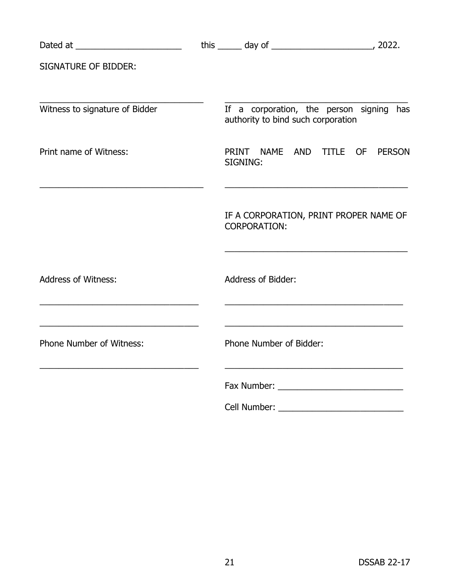|                                                                                                                                                    | this $\frac{1}{2}$ day of $\frac{1}{2}$ and $\frac{1}{2}$ and $\frac{1}{2}$ and $\frac{1}{2}$ and $\frac{1}{2}$ and $\frac{1}{2}$ and $\frac{1}{2}$ and $\frac{1}{2}$ and $\frac{1}{2}$ and $\frac{1}{2}$ and $\frac{1}{2}$ and $\frac{1}{2}$ and $\frac{1}{2}$ and $\frac{1}{2}$ and $\frac$ |               |
|----------------------------------------------------------------------------------------------------------------------------------------------------|-----------------------------------------------------------------------------------------------------------------------------------------------------------------------------------------------------------------------------------------------------------------------------------------------|---------------|
| <b>SIGNATURE OF BIDDER:</b>                                                                                                                        |                                                                                                                                                                                                                                                                                               |               |
| Witness to signature of Bidder                                                                                                                     | If a corporation, the person signing has<br>authority to bind such corporation                                                                                                                                                                                                                |               |
| Print name of Witness:<br><u> 1980 - Johann John Stone, markin film yn y brening yn y brening yn y brening yn y brening yn y brening y breni</u>   | PRINT NAME AND TITLE OF<br>SIGNING:<br><u> 1989 - Johann Barbara, martxa alemaniar arg</u>                                                                                                                                                                                                    | <b>PERSON</b> |
|                                                                                                                                                    | IF A CORPORATION, PRINT PROPER NAME OF<br><b>CORPORATION:</b>                                                                                                                                                                                                                                 |               |
| <b>Address of Witness:</b><br><u> 1989 - Johann John Stone, mars eta bat eta bat eta bat eta bat eta bat eta bat eta bat eta bat eta bat eta b</u> | <b>Address of Bidder:</b><br><u> 1989 - Johann John Stone, mars eta bat eta bat eta bat eta bat eta bat eta bat eta bat eta bat eta bat eta b</u>                                                                                                                                             |               |
| <u> 1989 - Johann Stoff, amerikansk politiker (* 1908)</u><br><b>Phone Number of Witness:</b>                                                      | <u> 1989 - Johann Barbara, marka a shekara tsa 1989 - An tsa 1989 - An tsa 1989 - An tsa 1989 - An tsa 1989 - An</u><br>Phone Number of Bidder:                                                                                                                                               |               |
|                                                                                                                                                    |                                                                                                                                                                                                                                                                                               |               |
|                                                                                                                                                    |                                                                                                                                                                                                                                                                                               |               |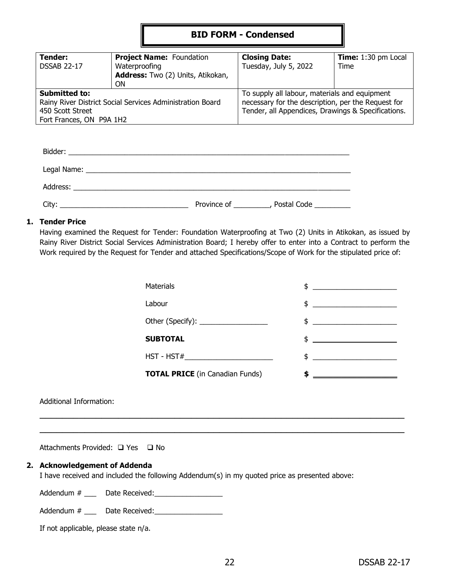# **BID FORM - Condensed**

| Tender:                                                   | <b>Project Name: Foundation</b>   | <b>Closing Date:</b>                               | Time: 1:30 pm Local |
|-----------------------------------------------------------|-----------------------------------|----------------------------------------------------|---------------------|
| <b>DSSAB 22-17</b>                                        | Waterproofing                     | Tuesday, July 5, 2022                              | Time                |
|                                                           | Address: Two (2) Units, Atikokan, |                                                    |                     |
|                                                           | <b>ON</b>                         |                                                    |                     |
| <b>Submitted to:</b>                                      |                                   | To supply all labour, materials and equipment      |                     |
| Rainy River District Social Services Administration Board |                                   | necessary for the description, per the Request for |                     |
| 450 Scott Street                                          |                                   | Tender, all Appendices, Drawings & Specifications. |                     |
| Fort Frances, ON P9A 1H2                                  |                                   |                                                    |                     |

| Address:<br><u> 1989 - Jan Barnett, mars ann an t-Amhain ann an t-Amhain an t-Amhain ann an t-Amhain an t-Amhain ann an t-Amh</u> |             |                                  |
|-----------------------------------------------------------------------------------------------------------------------------------|-------------|----------------------------------|
| City:<br>and the control of the control of the control of the control of the control of the control of                            | Province of | Postal Code <b>Contact State</b> |

#### **1. Tender Price**

Having examined the Request for Tender: Foundation Waterproofing at Two (2) Units in Atikokan, as issued by Rainy River District Social Services Administration Board; I hereby offer to enter into a Contract to perform the Work required by the Request for Tender and attached Specifications/Scope of Work for the stipulated price of:

 $\overline{\phantom{a}}$  , and the contribution of the contribution of the contribution of the contribution of the contribution of the contribution of the contribution of the contribution of the contribution of the contribution of the  $\overline{\phantom{a}}$  , and the contribution of the contribution of the contribution of the contribution of the contribution of the contribution of the contribution of the contribution of the contribution of the contribution of the

| <b>Materials</b>                       | $\frac{1}{2}$                                                                                                                                                                                                                                                                                                       |
|----------------------------------------|---------------------------------------------------------------------------------------------------------------------------------------------------------------------------------------------------------------------------------------------------------------------------------------------------------------------|
| Labour                                 | $$ \_$                                                                                                                                                                                                                                                                                                              |
| Other (Specify): __________________    | $\frac{1}{2}$ $\frac{1}{2}$ $\frac{1}{2}$ $\frac{1}{2}$ $\frac{1}{2}$ $\frac{1}{2}$ $\frac{1}{2}$ $\frac{1}{2}$ $\frac{1}{2}$ $\frac{1}{2}$ $\frac{1}{2}$ $\frac{1}{2}$ $\frac{1}{2}$ $\frac{1}{2}$ $\frac{1}{2}$ $\frac{1}{2}$ $\frac{1}{2}$ $\frac{1}{2}$ $\frac{1}{2}$ $\frac{1}{2}$ $\frac{1}{2}$ $\frac{1}{2}$ |
| <b>SUBTOTAL</b>                        | $\updownarrow$ $\downarrow$                                                                                                                                                                                                                                                                                         |
| HST - HST#___________________________  | $\frac{1}{2}$ $\frac{1}{2}$ $\frac{1}{2}$ $\frac{1}{2}$ $\frac{1}{2}$ $\frac{1}{2}$ $\frac{1}{2}$ $\frac{1}{2}$ $\frac{1}{2}$ $\frac{1}{2}$ $\frac{1}{2}$ $\frac{1}{2}$ $\frac{1}{2}$ $\frac{1}{2}$ $\frac{1}{2}$ $\frac{1}{2}$ $\frac{1}{2}$ $\frac{1}{2}$ $\frac{1}{2}$ $\frac{1}{2}$ $\frac{1}{2}$ $\frac{1}{2}$ |
| <b>TOTAL PRICE</b> (in Canadian Funds) |                                                                                                                                                                                                                                                                                                                     |

Additional Information:

Attachments Provided:  $\Box$  Yes  $\Box$  No

#### **2. Acknowledgement of Addenda**

I have received and included the following Addendum(s) in my quoted price as presented above:

Addendum # \_\_\_ Date Received:\_\_\_\_\_\_\_\_\_\_\_\_\_\_\_\_\_

| Addendum # | Date Received: |
|------------|----------------|
|------------|----------------|

| If not applicable, please state n/a. |  |  |
|--------------------------------------|--|--|
|--------------------------------------|--|--|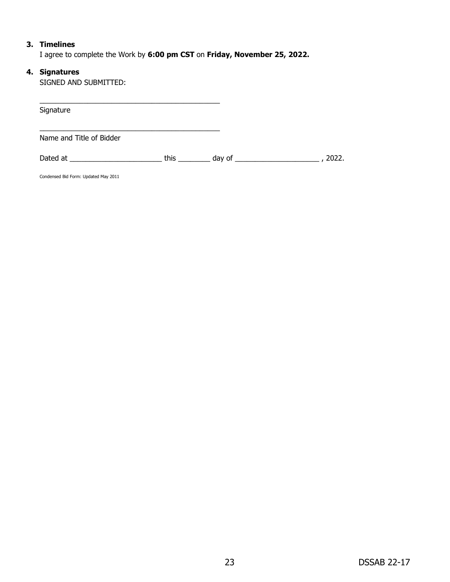#### **3. Timelines**

I agree to complete the Work by **6:00 pm CST** on **Friday, November 25, 2022.**

#### **4. Signatures**

SIGNED AND SUBMITTED:

| Signature                                                                                                                                                                                                                      |      |               |       |
|--------------------------------------------------------------------------------------------------------------------------------------------------------------------------------------------------------------------------------|------|---------------|-------|
|                                                                                                                                                                                                                                |      |               |       |
| Name and Title of Bidder                                                                                                                                                                                                       |      |               |       |
| Dated at the contract of the contract of the contract of the contract of the contract of the contract of the contract of the contract of the contract of the contract of the contract of the contract of the contract of the c | this | day of $\_\_$ | 2022. |
| Condensed Bid Form: Updated May 2011                                                                                                                                                                                           |      |               |       |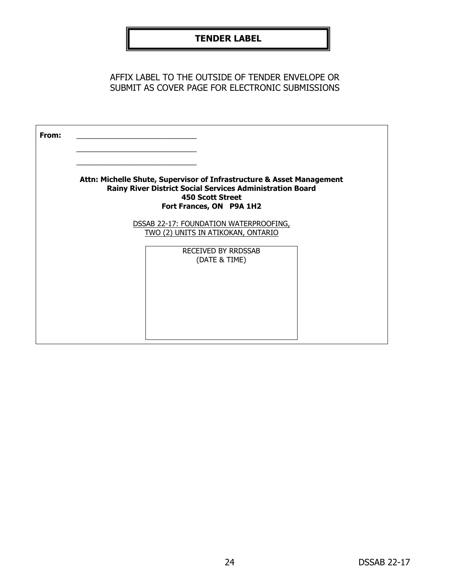# **TENDER LABEL**

AFFIX LABEL TO THE OUTSIDE OF TENDER ENVELOPE OR SUBMIT AS COVER PAGE FOR ELECTRONIC SUBMISSIONS

| From: |                                                                                                                                                                                                  |
|-------|--------------------------------------------------------------------------------------------------------------------------------------------------------------------------------------------------|
|       | Attn: Michelle Shute, Supervisor of Infrastructure & Asset Management<br><b>Rainy River District Social Services Administration Board</b><br><b>450 Scott Street</b><br>Fort Frances, ON P9A 1H2 |
|       | DSSAB 22-17: FOUNDATION WATERPROOFING,<br>TWO (2) UNITS IN ATIKOKAN, ONTARIO                                                                                                                     |
|       | <b>RECEIVED BY RRDSSAB</b><br>(DATE & TIME)                                                                                                                                                      |
|       |                                                                                                                                                                                                  |
|       |                                                                                                                                                                                                  |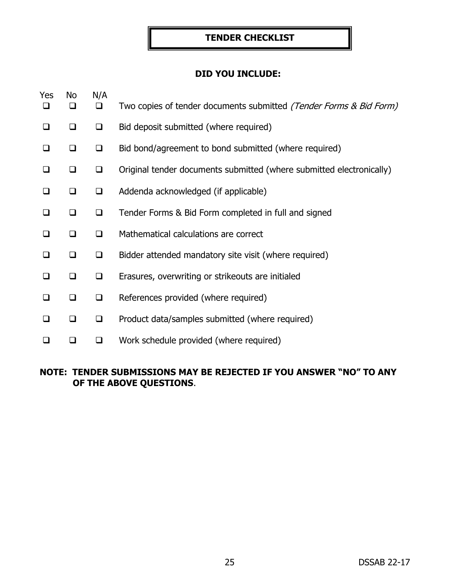# **TENDER CHECKLIST**

# **DID YOU INCLUDE:**

| Yes<br>❏ | No<br>❏ | N/A<br>❏ | Two copies of tender documents submitted (Tender Forms & Bid Form)   |
|----------|---------|----------|----------------------------------------------------------------------|
| $\Box$   | ◻       | $\Box$   | Bid deposit submitted (where required)                               |
| □        | ◻       | $\Box$   | Bid bond/agreement to bond submitted (where required)                |
| $\Box$   | ❏       | $\Box$   | Original tender documents submitted (where submitted electronically) |
| $\Box$   | $\Box$  | $\Box$   | Addenda acknowledged (if applicable)                                 |
| □        | $\Box$  | ❏        | Tender Forms & Bid Form completed in full and signed                 |
| □        | ❏       | ❏        | Mathematical calculations are correct                                |
| ◻        | ❏       | $\Box$   | Bidder attended mandatory site visit (where required)                |
| ❏        | ❏       | $\Box$   | Erasures, overwriting or strikeouts are initialed                    |
| □        | ❏       | $\Box$   | References provided (where required)                                 |
| □        | ❏       | $\Box$   | Product data/samples submitted (where required)                      |
|          |         | ❏        | Work schedule provided (where required)                              |

# **NOTE: TENDER SUBMISSIONS MAY BE REJECTED IF YOU ANSWER "NO" TO ANY OF THE ABOVE QUESTIONS**.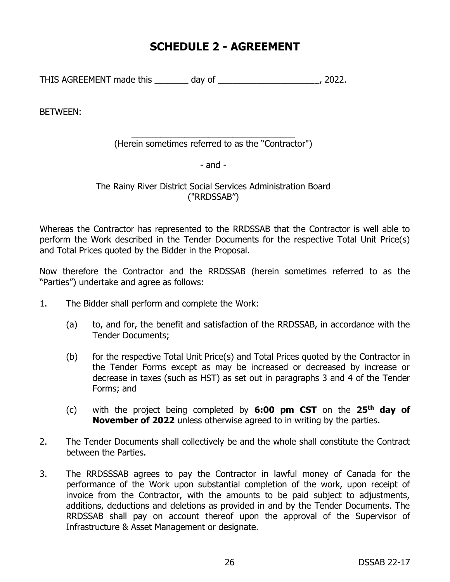# **SCHEDULE 2 - AGREEMENT**

THIS AGREEMENT made this \_\_\_\_\_\_\_ day of \_\_\_\_\_\_\_\_\_\_\_\_\_\_\_\_\_\_\_\_\_, 2022.

BETWEEN:

\_\_\_\_\_\_\_\_\_\_\_\_\_\_\_\_\_\_\_\_\_\_\_\_\_\_\_\_\_\_\_\_\_\_ (Herein sometimes referred to as the "Contractor")

- and -

The Rainy River District Social Services Administration Board ("RRDSSAB")

Whereas the Contractor has represented to the RRDSSAB that the Contractor is well able to perform the Work described in the Tender Documents for the respective Total Unit Price(s) and Total Prices quoted by the Bidder in the Proposal.

Now therefore the Contractor and the RRDSSAB (herein sometimes referred to as the "Parties") undertake and agree as follows:

- 1. The Bidder shall perform and complete the Work:
	- (a) to, and for, the benefit and satisfaction of the RRDSSAB, in accordance with the Tender Documents;
	- (b) for the respective Total Unit Price(s) and Total Prices quoted by the Contractor in the Tender Forms except as may be increased or decreased by increase or decrease in taxes (such as HST) as set out in paragraphs 3 and 4 of the Tender Forms; and
	- (c) with the project being completed by **6:00 pm CST** on the **25th day of November of 2022** unless otherwise agreed to in writing by the parties.
- 2. The Tender Documents shall collectively be and the whole shall constitute the Contract between the Parties.
- 3. The RRDSSSAB agrees to pay the Contractor in lawful money of Canada for the performance of the Work upon substantial completion of the work, upon receipt of invoice from the Contractor, with the amounts to be paid subject to adjustments, additions, deductions and deletions as provided in and by the Tender Documents. The RRDSSAB shall pay on account thereof upon the approval of the Supervisor of Infrastructure & Asset Management or designate.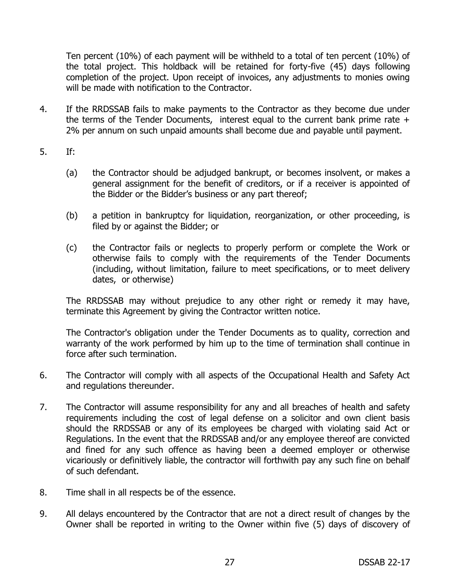Ten percent (10%) of each payment will be withheld to a total of ten percent (10%) of the total project. This holdback will be retained for forty-five (45) days following completion of the project. Upon receipt of invoices, any adjustments to monies owing will be made with notification to the Contractor.

- 4. If the RRDSSAB fails to make payments to the Contractor as they become due under the terms of the Tender Documents, interest equal to the current bank prime rate + 2% per annum on such unpaid amounts shall become due and payable until payment.
- 5. If:
	- (a) the Contractor should be adjudged bankrupt, or becomes insolvent, or makes a general assignment for the benefit of creditors, or if a receiver is appointed of the Bidder or the Bidder's business or any part thereof;
	- (b) a petition in bankruptcy for liquidation, reorganization, or other proceeding, is filed by or against the Bidder; or
	- (c) the Contractor fails or neglects to properly perform or complete the Work or otherwise fails to comply with the requirements of the Tender Documents (including, without limitation, failure to meet specifications, or to meet delivery dates, or otherwise)

The RRDSSAB may without prejudice to any other right or remedy it may have, terminate this Agreement by giving the Contractor written notice.

The Contractor's obligation under the Tender Documents as to quality, correction and warranty of the work performed by him up to the time of termination shall continue in force after such termination.

- 6. The Contractor will comply with all aspects of the Occupational Health and Safety Act and regulations thereunder.
- 7. The Contractor will assume responsibility for any and all breaches of health and safety requirements including the cost of legal defense on a solicitor and own client basis should the RRDSSAB or any of its employees be charged with violating said Act or Regulations. In the event that the RRDSSAB and/or any employee thereof are convicted and fined for any such offence as having been a deemed employer or otherwise vicariously or definitively liable, the contractor will forthwith pay any such fine on behalf of such defendant.
- 8. Time shall in all respects be of the essence.
- 9. All delays encountered by the Contractor that are not a direct result of changes by the Owner shall be reported in writing to the Owner within five (5) days of discovery of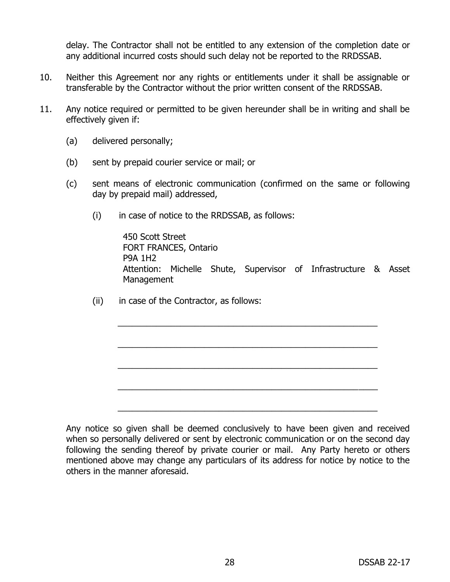delay. The Contractor shall not be entitled to any extension of the completion date or any additional incurred costs should such delay not be reported to the RRDSSAB.

- 10. Neither this Agreement nor any rights or entitlements under it shall be assignable or transferable by the Contractor without the prior written consent of the RRDSSAB.
- 11. Any notice required or permitted to be given hereunder shall be in writing and shall be effectively given if:
	- (a) delivered personally;
	- (b) sent by prepaid courier service or mail; or
	- (c) sent means of electronic communication (confirmed on the same or following day by prepaid mail) addressed,
		- (i) in case of notice to the RRDSSAB, as follows:

450 Scott Street FORT FRANCES, Ontario P9A 1H2 Attention: Michelle Shute, Supervisor of Infrastructure & Asset Management

\_\_\_\_\_\_\_\_\_\_\_\_\_\_\_\_\_\_\_\_\_\_\_\_\_\_\_\_\_\_\_\_\_\_\_\_\_\_\_\_\_\_\_\_\_\_\_\_\_\_\_\_\_\_

\_\_\_\_\_\_\_\_\_\_\_\_\_\_\_\_\_\_\_\_\_\_\_\_\_\_\_\_\_\_\_\_\_\_\_\_\_\_\_\_\_\_\_\_\_\_\_\_\_\_\_\_\_\_

\_\_\_\_\_\_\_\_\_\_\_\_\_\_\_\_\_\_\_\_\_\_\_\_\_\_\_\_\_\_\_\_\_\_\_\_\_\_\_\_\_\_\_\_\_\_\_\_\_\_\_\_\_\_

\_\_\_\_\_\_\_\_\_\_\_\_\_\_\_\_\_\_\_\_\_\_\_\_\_\_\_\_\_\_\_\_\_\_\_\_\_\_\_\_\_\_\_\_\_\_\_\_\_\_\_\_\_\_

\_\_\_\_\_\_\_\_\_\_\_\_\_\_\_\_\_\_\_\_\_\_\_\_\_\_\_\_\_\_\_\_\_\_\_\_\_\_\_\_\_\_\_\_\_\_\_\_\_\_\_\_\_\_

(ii) in case of the Contractor, as follows:

Any notice so given shall be deemed conclusively to have been given and received when so personally delivered or sent by electronic communication or on the second day following the sending thereof by private courier or mail. Any Party hereto or others mentioned above may change any particulars of its address for notice by notice to the others in the manner aforesaid.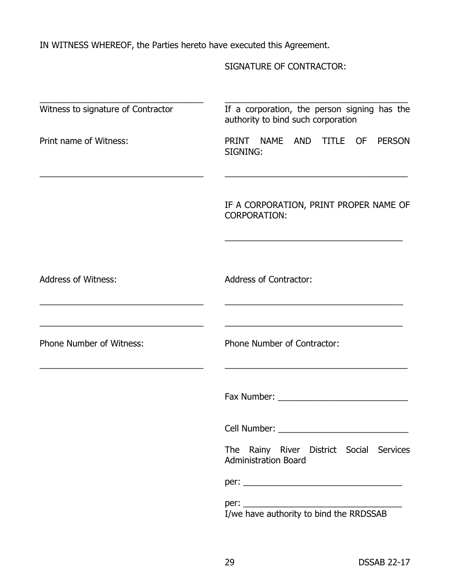IN WITNESS WHEREOF, the Parties hereto have executed this Agreement.

SIGNATURE OF CONTRACTOR:

| Witness to signature of Contractor | If a corporation, the person signing has the<br>authority to bind such corporation                                                                                                                                             |
|------------------------------------|--------------------------------------------------------------------------------------------------------------------------------------------------------------------------------------------------------------------------------|
| Print name of Witness:             | PRINT NAME<br>AND TITLE OF<br><b>PERSON</b><br>SIGNING:                                                                                                                                                                        |
|                                    | IF A CORPORATION, PRINT PROPER NAME OF<br><b>CORPORATION:</b>                                                                                                                                                                  |
| <b>Address of Witness:</b>         | <b>Address of Contractor:</b>                                                                                                                                                                                                  |
| <b>Phone Number of Witness:</b>    | Phone Number of Contractor:                                                                                                                                                                                                    |
|                                    | Fax Number: The Contract of the Contract of the Contract of the Contract of the Contract of the Contract of the Contract of the Contract of the Contract of the Contract of the Contract of the Contract of the Contract of th |
|                                    | Cell Number: __________                                                                                                                                                                                                        |
|                                    | The Rainy River District Social Services<br><b>Administration Board</b>                                                                                                                                                        |
|                                    |                                                                                                                                                                                                                                |
|                                    |                                                                                                                                                                                                                                |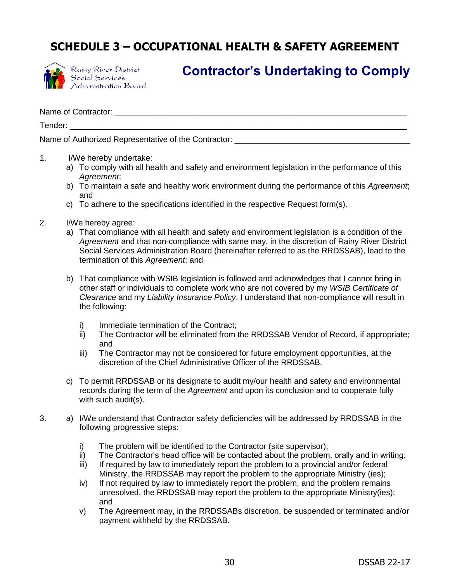# **SCHEDULE 3 – OCCUPATIONAL HEALTH & SAFETY AGREEMENT**



Rainy River District Social Services<br>Administration Board

# **Contractor's Undertaking to Comply**

Name of Contractor:  $\Box$ 

Tender: \_\_\_\_\_\_\_\_\_\_\_\_\_\_\_\_\_\_\_\_\_\_\_\_\_\_\_\_\_\_\_\_\_\_\_\_\_\_\_\_\_\_\_\_\_\_\_\_\_\_\_\_\_\_\_\_\_\_\_\_\_\_\_\_\_\_\_\_\_\_\_\_\_\_\_

Name of Authorized Representative of the Contractor: \_\_\_\_\_\_\_\_\_\_\_\_\_\_\_\_\_\_\_\_\_\_\_\_\_\_\_

- 1. I/We hereby undertake:
	- a) To comply with all health and safety and environment legislation in the performance of this *Agreement*;
	- b) To maintain a safe and healthy work environment during the performance of this *Agreement*; and
	- c) To adhere to the specifications identified in the respective Request form(s).
- 2. I/We hereby agree:
	- a) That compliance with all health and safety and environment legislation is a condition of the *Agreement* and that non-compliance with same may, in the discretion of Rainy River District Social Services Administration Board (hereinafter referred to as the RRDSSAB), lead to the termination of this *Agreement*; and
	- b) That compliance with WSIB legislation is followed and acknowledges that I cannot bring in other staff or individuals to complete work who are not covered by my *WSIB Certificate of Clearance* and my *Liability Insurance Policy*. I understand that non-compliance will result in the following:
		- i) Immediate termination of the Contract;
		- ii) The Contractor will be eliminated from the RRDSSAB Vendor of Record, if appropriate; and
		- iii) The Contractor may not be considered for future employment opportunities, at the discretion of the Chief Administrative Officer of the RRDSSAB.
	- c) To permit RRDSSAB or its designate to audit my/our health and safety and environmental records during the term of the *Agreement* and upon its conclusion and to cooperate fully with such audit(s).
- 3. a) I/We understand that Contractor safety deficiencies will be addressed by RRDSSAB in the following progressive steps:
	- i) The problem will be identified to the Contractor (site supervisor);
	- ii) The Contractor's head office will be contacted about the problem, orally and in writing;
	- iii) If required by law to immediately report the problem to a provincial and/or federal Ministry, the RRDSSAB may report the problem to the appropriate Ministry (ies);
	- iv) If not required by law to immediately report the problem, and the problem remains unresolved, the RRDSSAB may report the problem to the appropriate Ministry(ies); and
	- v) The Agreement may, in the RRDSSABs discretion, be suspended or terminated and/or payment withheld by the RRDSSAB.